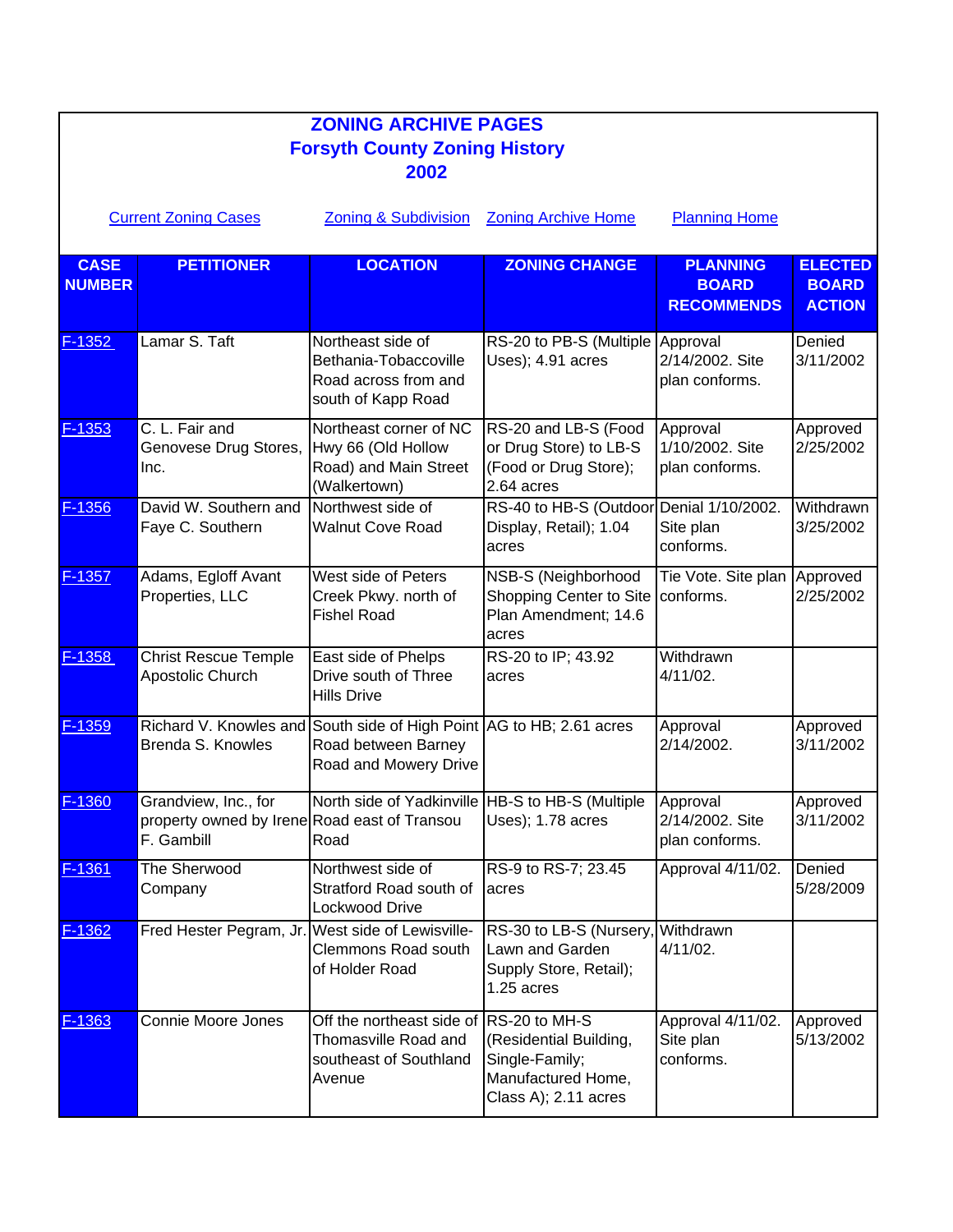| <b>ZONING ARCHIVE PAGES</b><br><b>Forsyth County Zoning History</b>                                                          |                                                                                    |                                                                                                                      |                                                                                                         |                                                      |                                                 |  |  |
|------------------------------------------------------------------------------------------------------------------------------|------------------------------------------------------------------------------------|----------------------------------------------------------------------------------------------------------------------|---------------------------------------------------------------------------------------------------------|------------------------------------------------------|-------------------------------------------------|--|--|
| 2002<br><b>Zoning &amp; Subdivision</b><br><b>Zoning Archive Home</b><br><b>Planning Home</b><br><b>Current Zoning Cases</b> |                                                                                    |                                                                                                                      |                                                                                                         |                                                      |                                                 |  |  |
| <b>CASE</b><br><b>NUMBER</b>                                                                                                 | <b>PETITIONER</b>                                                                  | <b>LOCATION</b>                                                                                                      | <b>ZONING CHANGE</b>                                                                                    | <b>PLANNING</b><br><b>BOARD</b><br><b>RECOMMENDS</b> | <b>ELECTED</b><br><b>BOARD</b><br><b>ACTION</b> |  |  |
| $F-1352$                                                                                                                     | Lamar S. Taft                                                                      | Northeast side of<br>Bethania-Tobaccoville<br>Road across from and<br>south of Kapp Road                             | RS-20 to PB-S (Multiple Approval<br>Uses); 4.91 acres                                                   | 2/14/2002. Site<br>plan conforms.                    | Denied<br>3/11/2002                             |  |  |
| $F-1353$                                                                                                                     | C. L. Fair and<br>Genovese Drug Stores,<br>Inc.                                    | Northeast corner of NC<br>Hwy 66 (Old Hollow<br>Road) and Main Street<br>(Walkertown)                                | RS-20 and LB-S (Food<br>or Drug Store) to LB-S<br>(Food or Drug Store);<br>2.64 acres                   | Approval<br>1/10/2002. Site<br>plan conforms.        | Approved<br>2/25/2002                           |  |  |
| $F-1356$                                                                                                                     | David W. Southern and<br>Faye C. Southern                                          | Northwest side of<br><b>Walnut Cove Road</b>                                                                         | RS-40 to HB-S (Outdoor Denial 1/10/2002.<br>Display, Retail); 1.04<br>acres                             | Site plan<br>conforms.                               | Withdrawn<br>3/25/2002                          |  |  |
| $F-1357$                                                                                                                     | Adams, Egloff Avant<br>Properties, LLC                                             | West side of Peters<br>Creek Pkwy. north of<br><b>Fishel Road</b>                                                    | NSB-S (Neighborhood<br>Shopping Center to Site<br>Plan Amendment; 14.6<br>acres                         | Tie Vote. Site plan Approved<br>conforms.            | 2/25/2002                                       |  |  |
| F-1358                                                                                                                       | <b>Christ Rescue Temple</b><br>Apostolic Church                                    | East side of Phelps<br>Drive south of Three<br><b>Hills Drive</b>                                                    | RS-20 to IP; 43.92<br>acres                                                                             | Withdrawn<br>$4/11/02$ .                             |                                                 |  |  |
| F-1359                                                                                                                       | Brenda S. Knowles                                                                  | Richard V. Knowles and South side of High Point AG to HB; 2.61 acres<br>Road between Barney<br>Road and Mowery Drive |                                                                                                         | Approval<br>2/14/2002.                               | Approved<br>3/11/2002                           |  |  |
| <u> F-1360</u>                                                                                                               | Grandview, Inc., for<br>property owned by Irene Road east of Transou<br>F. Gambill | North side of Yadkinville HB-S to HB-S (Multiple<br>Road                                                             | Uses); 1.78 acres                                                                                       | Approval<br>2/14/2002. Site<br>plan conforms.        | Approved<br>3/11/2002                           |  |  |
| $F-1361$                                                                                                                     | The Sherwood<br>Company                                                            | Northwest side of<br>Stratford Road south of<br><b>Lockwood Drive</b>                                                | RS-9 to RS-7; 23.45<br>acres                                                                            | Approval 4/11/02.                                    | Denied<br>5/28/2009                             |  |  |
| $F-1362$                                                                                                                     | Fred Hester Pegram, Jr. West side of Lewisville-                                   | Clemmons Road south<br>of Holder Road                                                                                | RS-30 to LB-S (Nursery,<br>Lawn and Garden<br>Supply Store, Retail);<br>1.25 acres                      | Withdrawn<br>$4/11/02$ .                             |                                                 |  |  |
| $F-1363$                                                                                                                     | Connie Moore Jones                                                                 | Off the northeast side of<br>Thomasville Road and<br>southeast of Southland<br>Avenue                                | RS-20 to MH-S<br>(Residential Building,<br>Single-Family;<br>Manufactured Home,<br>Class A); 2.11 acres | Approval 4/11/02.<br>Site plan<br>conforms.          | Approved<br>5/13/2002                           |  |  |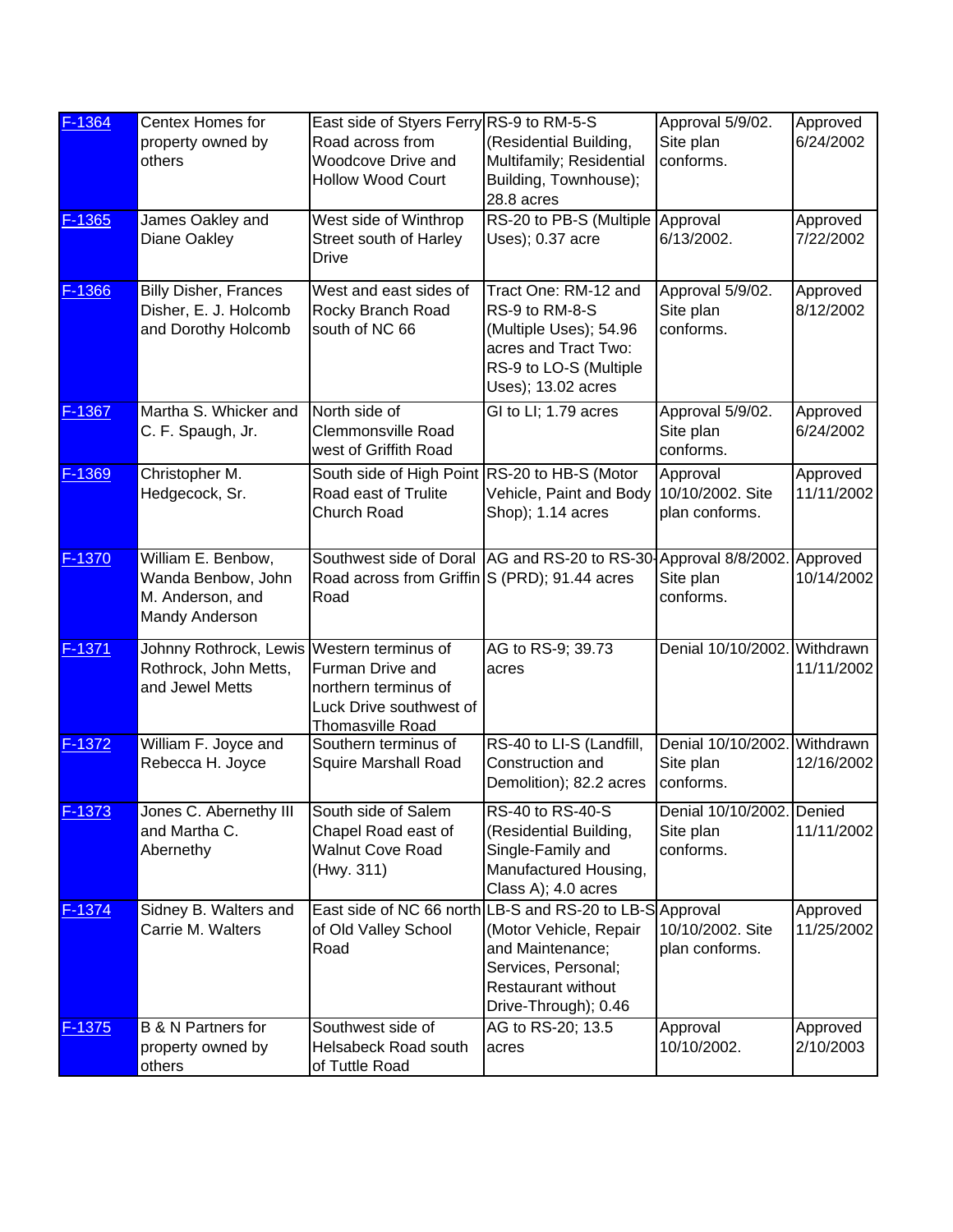| F-1364         | Centex Homes for<br>property owned by<br>others                                        | East side of Styers Ferry RS-9 to RM-5-S<br>Road across from<br>Woodcove Drive and<br><b>Hollow Wood Court</b> | (Residential Building,<br>Multifamily; Residential<br>Building, Townhouse);<br>28.8 acres                                                                                   | Approval 5/9/02.<br>Site plan<br>conforms.             | Approved<br>6/24/2002  |
|----------------|----------------------------------------------------------------------------------------|----------------------------------------------------------------------------------------------------------------|-----------------------------------------------------------------------------------------------------------------------------------------------------------------------------|--------------------------------------------------------|------------------------|
| $F-1365$       | James Oakley and<br>Diane Oakley                                                       | West side of Winthrop<br>Street south of Harley<br><b>Drive</b>                                                | RS-20 to PB-S (Multiple<br>Uses); 0.37 acre                                                                                                                                 | Approval<br>6/13/2002.                                 | Approved<br>7/22/2002  |
| F-1366         | <b>Billy Disher, Frances</b><br>Disher, E. J. Holcomb<br>and Dorothy Holcomb           | West and east sides of<br>Rocky Branch Road<br>south of NC 66                                                  | Tract One: RM-12 and<br>RS-9 to RM-8-S<br>(Multiple Uses); 54.96<br>acres and Tract Two:<br>RS-9 to LO-S (Multiple<br>Uses); 13.02 acres                                    | Approval 5/9/02.<br>Site plan<br>conforms.             | Approved<br>8/12/2002  |
| F-1367         | Martha S. Whicker and<br>C. F. Spaugh, Jr.                                             | North side of<br><b>Clemmonsville Road</b><br>west of Griffith Road                                            | GI to LI; 1.79 acres                                                                                                                                                        | Approval 5/9/02.<br>Site plan<br>conforms.             | Approved<br>6/24/2002  |
| F-1369         | Christopher M.<br>Hedgecock, Sr.                                                       | South side of High Point<br>Road east of Trulite<br>Church Road                                                | RS-20 to HB-S (Motor<br>Vehicle, Paint and Body<br>Shop); 1.14 acres                                                                                                        | Approval<br>10/10/2002. Site<br>plan conforms.         | Approved<br>11/11/2002 |
| F-1370         | William E. Benbow,<br>Wanda Benbow, John<br>M. Anderson, and<br>Mandy Anderson         | Road across from Griffin S (PRD); 91.44 acres<br>Road                                                          | Southwest side of Doral AG and RS-20 to RS-30-Approval 8/8/2002.                                                                                                            | Site plan<br>conforms.                                 | Approved<br>10/14/2002 |
| $F-1371$       | Johnny Rothrock, Lewis Western terminus of<br>Rothrock, John Metts,<br>and Jewel Metts | <b>Furman Drive and</b><br>northern terminus of<br>Luck Drive southwest of<br>Thomasville Road                 | AG to RS-9; 39.73<br>acres                                                                                                                                                  | Denial 10/10/2002. Withdrawn                           | 11/11/2002             |
| F-1372         | William F. Joyce and<br>Rebecca H. Joyce                                               | Southern terminus of<br><b>Squire Marshall Road</b>                                                            | RS-40 to LI-S (Landfill,<br>Construction and<br>Demolition); 82.2 acres                                                                                                     | Denial 10/10/2002. Withdrawn<br>Site plan<br>conforms. | 12/16/2002             |
| <u> F-1373</u> | Jones C. Abernethy III<br>and Martha C.<br>Abernethy                                   | South side of Salem<br>Chapel Road east of<br><b>Walnut Cove Road</b><br>(Hwy. 311)                            | RS-40 to RS-40-S<br>(Residential Building,<br>Single-Family and<br>Manufactured Housing,<br>Class A); 4.0 acres                                                             | Denial 10/10/2002. Denied<br>Site plan<br>conforms.    | 11/11/2002             |
| F-1374         | Sidney B. Walters and<br>Carrie M. Walters                                             | of Old Valley School<br>Road                                                                                   | East side of NC 66 north LB-S and RS-20 to LB-S Approval<br>(Motor Vehicle, Repair<br>and Maintenance;<br>Services, Personal;<br>Restaurant without<br>Drive-Through); 0.46 | 10/10/2002. Site<br>plan conforms.                     | Approved<br>11/25/2002 |
| $F-1375$       | <b>B &amp; N Partners for</b><br>property owned by<br>others                           | Southwest side of<br><b>Helsabeck Road south</b><br>of Tuttle Road                                             | AG to RS-20; 13.5<br>acres                                                                                                                                                  | Approval<br>10/10/2002.                                | Approved<br>2/10/2003  |